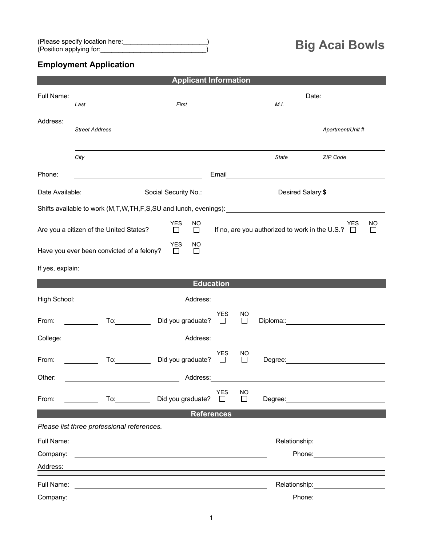## **Employment Application**

| <b>Applicant Information</b>                                                                                                                                             |                                                                                                                                                                                                                                |                                                                                                                                                                                                                                |                       |                       |       |                                                                                                                                                                                                                                      |  |  |  |
|--------------------------------------------------------------------------------------------------------------------------------------------------------------------------|--------------------------------------------------------------------------------------------------------------------------------------------------------------------------------------------------------------------------------|--------------------------------------------------------------------------------------------------------------------------------------------------------------------------------------------------------------------------------|-----------------------|-----------------------|-------|--------------------------------------------------------------------------------------------------------------------------------------------------------------------------------------------------------------------------------------|--|--|--|
| Full Name:                                                                                                                                                               |                                                                                                                                                                                                                                |                                                                                                                                                                                                                                |                       | Date: <u>________</u> |       |                                                                                                                                                                                                                                      |  |  |  |
|                                                                                                                                                                          | Last                                                                                                                                                                                                                           | First                                                                                                                                                                                                                          |                       |                       | M.I.  |                                                                                                                                                                                                                                      |  |  |  |
| Address:                                                                                                                                                                 | <b>Street Address</b>                                                                                                                                                                                                          |                                                                                                                                                                                                                                |                       |                       |       | Apartment/Unit #                                                                                                                                                                                                                     |  |  |  |
|                                                                                                                                                                          |                                                                                                                                                                                                                                |                                                                                                                                                                                                                                |                       |                       |       |                                                                                                                                                                                                                                      |  |  |  |
|                                                                                                                                                                          | City                                                                                                                                                                                                                           |                                                                                                                                                                                                                                |                       |                       | State | ZIP Code                                                                                                                                                                                                                             |  |  |  |
| Phone:                                                                                                                                                                   |                                                                                                                                                                                                                                |                                                                                                                                                                                                                                |                       |                       |       |                                                                                                                                                                                                                                      |  |  |  |
| Date Available:                                                                                                                                                          |                                                                                                                                                                                                                                | Social Security No.: 1994                                                                                                                                                                                                      |                       |                       |       | Desired Salary: \$                                                                                                                                                                                                                   |  |  |  |
|                                                                                                                                                                          |                                                                                                                                                                                                                                |                                                                                                                                                                                                                                |                       |                       |       |                                                                                                                                                                                                                                      |  |  |  |
| <b>YES</b><br><b>NO</b><br>NO.<br>YES<br>If no, are you authorized to work in the U.S.? $\Box$<br>$\Box$<br>Are you a citizen of the United States?<br>$\Box$<br>$\perp$ |                                                                                                                                                                                                                                |                                                                                                                                                                                                                                |                       |                       |       |                                                                                                                                                                                                                                      |  |  |  |
| <b>YES</b><br>NO.<br>Have you ever been convicted of a felony?<br>$\Box$<br>$\Box$                                                                                       |                                                                                                                                                                                                                                |                                                                                                                                                                                                                                |                       |                       |       |                                                                                                                                                                                                                                      |  |  |  |
|                                                                                                                                                                          |                                                                                                                                                                                                                                |                                                                                                                                                                                                                                |                       |                       |       |                                                                                                                                                                                                                                      |  |  |  |
|                                                                                                                                                                          |                                                                                                                                                                                                                                | <b>Education</b>                                                                                                                                                                                                               |                       |                       |       |                                                                                                                                                                                                                                      |  |  |  |
|                                                                                                                                                                          |                                                                                                                                                                                                                                |                                                                                                                                                                                                                                |                       |                       |       |                                                                                                                                                                                                                                      |  |  |  |
| From:                                                                                                                                                                    | To: the contract of the contract of the contract of the contract of the contract of the contract of the contract of the contract of the contract of the contract of the contract of the contract of the contract of the contra | Did you graduate? $\square$                                                                                                                                                                                                    | <b>YES</b>            | NO<br>$\Box$          |       |                                                                                                                                                                                                                                      |  |  |  |
|                                                                                                                                                                          |                                                                                                                                                                                                                                | College: Address: Address: Address: Address: Address: Address: Address: Address: Address: Address: Address: Address: Address: Address: Address: Address: Address: Address: Address: Address: Address: Address: Address: Addres |                       |                       |       |                                                                                                                                                                                                                                      |  |  |  |
| From:                                                                                                                                                                    | To: the contract of the contract of the contract of the contract of the contract of the contract of the contract of the contract of the contract of the contract of the contract of the contract of the contract of the contra | Did you graduate? $\square$                                                                                                                                                                                                    | YES                   | NO<br>$\Box$          |       |                                                                                                                                                                                                                                      |  |  |  |
| Other:                                                                                                                                                                   |                                                                                                                                                                                                                                | Address:                                                                                                                                                                                                                       |                       |                       |       |                                                                                                                                                                                                                                      |  |  |  |
| From:                                                                                                                                                                    | $\overline{a}$                                                                                                                                                                                                                 | Did you graduate?                                                                                                                                                                                                              | <b>YES</b><br>$\perp$ | <b>NO</b><br>$\Box$   |       | Degree: <u>with the contract of the contract of the contract of the contract of the contract of the contract of the contract of the contract of the contract of the contract of the contract of the contract of the contract of </u> |  |  |  |
|                                                                                                                                                                          |                                                                                                                                                                                                                                | <b>References</b>                                                                                                                                                                                                              |                       |                       |       |                                                                                                                                                                                                                                      |  |  |  |
|                                                                                                                                                                          | Please list three professional references.                                                                                                                                                                                     |                                                                                                                                                                                                                                |                       |                       |       |                                                                                                                                                                                                                                      |  |  |  |
| Full Name:                                                                                                                                                               |                                                                                                                                                                                                                                | <u> 1989 - Andrea Barbara, politikar eta politikar eta politika</u>                                                                                                                                                            |                       |                       |       | Relationship: Network of the state of the state of the state of the state of the state of the state of the state of the state of the state of the state of the state of the state of the state of the state of the state of th       |  |  |  |
| Company:                                                                                                                                                                 |                                                                                                                                                                                                                                |                                                                                                                                                                                                                                |                       |                       |       | Phone: The contract of the contract of the contract of the contract of the contract of the contract of the contract of the contract of the contract of the contract of the contract of the contract of the contract of the con       |  |  |  |
| Address:                                                                                                                                                                 |                                                                                                                                                                                                                                |                                                                                                                                                                                                                                |                       |                       |       |                                                                                                                                                                                                                                      |  |  |  |
| Full Name:                                                                                                                                                               |                                                                                                                                                                                                                                | <u> 1989 - Johann Stein, marwolaethau a bhann an t-Amhair an t-Amhair an t-Amhair an t-Amhair an t-Amhair an t-A</u>                                                                                                           |                       |                       |       | Relationship: example and the set of the set of the set of the set of the set of the set of the set of the set of the set of the set of the set of the set of the set of the set of the set of the set of the set of the set o       |  |  |  |
| Company:                                                                                                                                                                 |                                                                                                                                                                                                                                |                                                                                                                                                                                                                                |                       |                       |       | Phone: The control of the control of the control of the control of the control of the control of the control of the control of the control of the control of the control of the control of the control of the control of the c       |  |  |  |